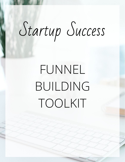# Startup Success

## FUNNEL BUILDING TOOLKIT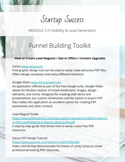Startup Success

MODULE 3 // Visibility & Lead Generation

## Funnel Building Toolkit

## **How to Create Lead Magnets / Opt-In Offers / Content Upgrades**

#### Canva [www.canva.com](http://www.canva.com)

Free graphic design tool can be used to easily make attractive PDF files. Offers design templates and many different elements.

## Google Slides [www.drive.google.com](http://www.drive.google.com)

An application offered as part of the free Google suite, Google Slides allows for flexible creation of mixed media (text, images, design elements, and more). Designed for creating slide decks and presentations, but custom dimensions and the option to export PDF files makes this application an excellent option for creating PDF worksheets and other content.

### Lead Magnet Guide

[https://www.gillianperkins.com/wp-content/uploads/2018/02/Create-Yo](https://www.gillianperkins.com/wp-content/uploads/2018/02/Create-Your-First-Lead-Magnet-A-Step-by-Step-Guide.pdf) [ur-First-Lead-Magnet-A-Step-by-Step-Guide.pdf](https://www.gillianperkins.com/wp-content/uploads/2018/02/Create-Your-First-Lead-Magnet-A-Step-by-Step-Guide.pdf) A step-by-step guide that shows how to easily create free PDF resources.

#### Canva PDF Design Tutorial

<https://www.youtube.com/watch?v=4I2KV23RuNM>

Video tutorial that demonstrates the basics of using Canva to create professional looking PDF resources.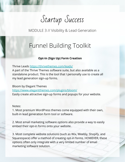Startup Success

MODULE 3 // Visibility & Lead Generation

## Funnel Building Toolkit

## **Opt-In (Sign Up) Form Creation**

Thrive Leads<https://thrivethemes.com/leads/>

A part of the Thrive Themes software suite, but also available as a standalone product. This is the tool that I personally use to create all my lead generation sign-up forms.

Bloom by Elegant Themes

<https://www.elegantthemes.com/plugins/bloom/> Easily create attractive sign-up forms and popups for your website.

#### Notes:

1. Most premium WordPress themes come equipped with their own, built-in lead generation form tool or software.

2. Most email marketing software options also provide a way to easily embed their opt-in forms onto your website.

3. Most complete website solutions (such as Wix, Weebly, Shopify, and Squarespace) offer a method of creating opt-in forms. HOWEVER, these options often only integrate with a very limited number of email marketing software solution.